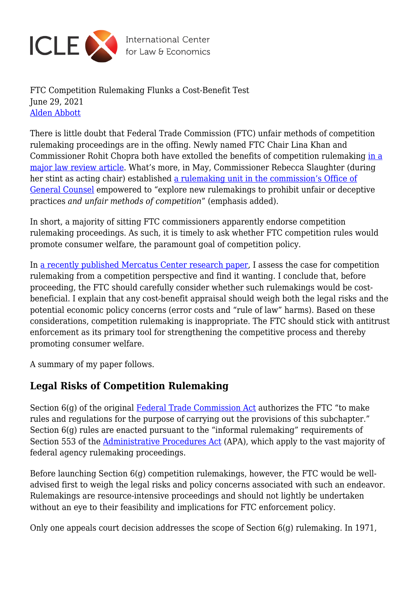

FTC Competition Rulemaking Flunks a Cost-Benefit Test June 29, 2021 [Alden Abbott](https://laweconcenter.org/author/aldenabbott/)

There is little doubt that Federal Trade Commission (FTC) unfair methods of competition rulemaking proceedings are in the offing. Newly named FTC Chair Lina Khan and Commissioner Rohit Chopra both have extolled the benefits of competition rulemaking [in a](https://www.ftc.gov/system/files/documents/public_statements/1568663/rohit_chopra_and_lina_m_khan_the_case_for_unfair_methods_of_competition_rulemaking.pdf) [major law review article.](https://www.ftc.gov/system/files/documents/public_statements/1568663/rohit_chopra_and_lina_m_khan_the_case_for_unfair_methods_of_competition_rulemaking.pdf) What's more, in May, Commissioner Rebecca Slaughter (during her stint as acting chair) established [a rulemaking unit in the commission's Office of](https://www.ftc.gov/news-events/press-releases/2021/05/ftc-acting-chairwoman-slaughter-announces-new-appointments-agency) [General Counsel](https://www.ftc.gov/news-events/press-releases/2021/05/ftc-acting-chairwoman-slaughter-announces-new-appointments-agency) empowered to "explore new rulemakings to prohibit unfair or deceptive practices *and unfair methods of competition*" (emphasis added).

In short, a majority of sitting FTC commissioners apparently endorse competition rulemaking proceedings. As such, it is timely to ask whether FTC competition rules would promote consumer welfare, the paramount goal of competition policy.

In [a recently published Mercatus Center research paper,](https://www.mercatus.org/system/files/ftc_competition_regulation_a_cost-benefit_appraisal.pdf) I assess the case for competition rulemaking from a competition perspective and find it wanting. I conclude that, before proceeding, the FTC should carefully consider whether such rulemakings would be costbeneficial. I explain that any cost-benefit appraisal should weigh both the legal risks and the potential economic policy concerns (error costs and "rule of law" harms). Based on these considerations, competition rulemaking is inappropriate. The FTC should stick with antitrust enforcement as its primary tool for strengthening the competitive process and thereby promoting consumer welfare.

A summary of my paper follows.

## **Legal Risks of Competition Rulemaking**

Section 6(g) of the original [Federal Trade Commission Act](https://www.ftc.gov/sites/default/files/documents/statutes/federal-trade-commission-act/ftc_act_incorporatingus_safe_web_act.pdf) authorizes the FTC "to make rules and regulations for the purpose of carrying out the provisions of this subchapter." Section 6(g) rules are enacted pursuant to the "informal rulemaking" requirements of Section 553 of the [Administrative Procedures Act](https://www.archives.gov/federal-register/laws/administrative-procedure) (APA), which apply to the vast majority of federal agency rulemaking proceedings.

Before launching Section 6(g) competition rulemakings, however, the FTC would be welladvised first to weigh the legal risks and policy concerns associated with such an endeavor. Rulemakings are resource-intensive proceedings and should not lightly be undertaken without an eye to their feasibility and implications for FTC enforcement policy.

Only one appeals court decision addresses the scope of Section 6(g) rulemaking. In 1971,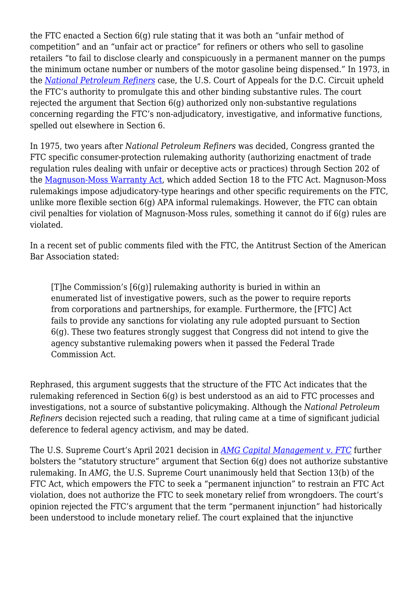the FTC enacted a Section 6(g) rule stating that it was both an "unfair method of competition" and an "unfair act or practice" for refiners or others who sell to gasoline retailers "to fail to disclose clearly and conspicuously in a permanent manner on the pumps the minimum octane number or numbers of the motor gasoline being dispensed." In 1973, in the *[National Petroleum Refiners](https://casetext.com/case/national-petroleum-refiners-assn-v-f-t-c)* case, the U.S. Court of Appeals for the D.C. Circuit upheld the FTC's authority to promulgate this and other binding substantive rules. The court rejected the argument that Section  $6(q)$  authorized only non-substantive regulations concerning regarding the FTC's non-adjudicatory, investigative, and informative functions, spelled out elsewhere in Section 6.

In 1975, two years after *National Petroleum Refiners* was decided, Congress granted the FTC specific consumer-protection rulemaking authority (authorizing enactment of trade regulation rules dealing with unfair or deceptive acts or practices) through Section 202 of the [Magnuson-Moss Warranty Act,](https://www.govinfo.gov/content/pkg/USCODE-2012-title15/html/USCODE-2012-title15-chap50.htm) which added Section 18 to the FTC Act. Magnuson-Moss rulemakings impose adjudicatory-type hearings and other specific requirements on the FTC, unlike more flexible section 6(g) APA informal rulemakings. However, the FTC can obtain civil penalties for violation of Magnuson-Moss rules, something it cannot do if 6(g) rules are violated.

In a recent set of public comments filed with the FTC, the Antitrust Section of the American Bar Association stated:

[T]he Commission's [6(g)] rulemaking authority is buried in within an enumerated list of investigative powers, such as the power to require reports from corporations and partnerships, for example. Furthermore, the [FTC] Act fails to provide any sanctions for violating any rule adopted pursuant to Section 6(g). These two features strongly suggest that Congress did not intend to give the agency substantive rulemaking powers when it passed the Federal Trade Commission Act.

Rephrased, this argument suggests that the structure of the FTC Act indicates that the rulemaking referenced in Section 6(g) is best understood as an aid to FTC processes and investigations, not a source of substantive policymaking. Although the *National Petroleum Refiners* decision rejected such a reading, that ruling came at a time of significant judicial deference to federal agency activism, and may be dated.

The U.S. Supreme Court's April 2021 decision in *[AMG Capital Management v. FTC](https://www.supremecourt.gov/opinions/20pdf/19-508_l6gn.pdf)* further bolsters the "statutory structure" argument that Section 6(g) does not authorize substantive rulemaking. In *AMG*, the U.S. Supreme Court unanimously held that Section 13(b) of the FTC Act, which empowers the FTC to seek a "permanent injunction" to restrain an FTC Act violation, does not authorize the FTC to seek monetary relief from wrongdoers. The court's opinion rejected the FTC's argument that the term "permanent injunction" had historically been understood to include monetary relief. The court explained that the injunctive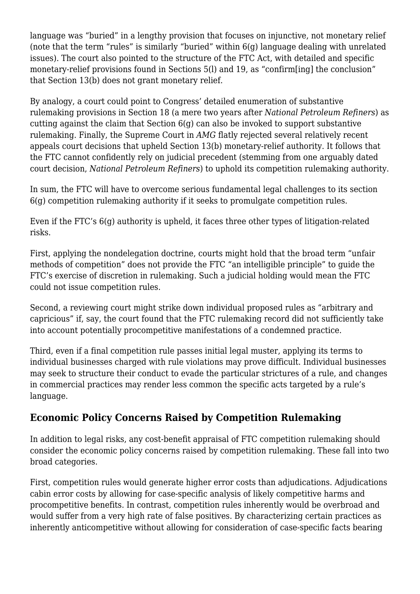language was "buried" in a lengthy provision that focuses on injunctive, not monetary relief (note that the term "rules" is similarly "buried" within  $6(q)$  language dealing with unrelated issues). The court also pointed to the structure of the FTC Act, with detailed and specific monetary-relief provisions found in Sections 5(l) and 19, as "confirm[ing] the conclusion" that Section 13(b) does not grant monetary relief.

By analogy, a court could point to Congress' detailed enumeration of substantive rulemaking provisions in Section 18 (a mere two years after *National Petroleum Refiners*) as cutting against the claim that Section  $6(q)$  can also be invoked to support substantive rulemaking. Finally, the Supreme Court in *AMG* flatly rejected several relatively recent appeals court decisions that upheld Section 13(b) monetary-relief authority. It follows that the FTC cannot confidently rely on judicial precedent (stemming from one arguably dated court decision, *National Petroleum Refiners*) to uphold its competition rulemaking authority.

In sum, the FTC will have to overcome serious fundamental legal challenges to its section 6(g) competition rulemaking authority if it seeks to promulgate competition rules.

Even if the FTC's 6(g) authority is upheld, it faces three other types of litigation-related risks.

First, applying the nondelegation doctrine, courts might hold that the broad term "unfair methods of competition" does not provide the FTC "an intelligible principle" to guide the FTC's exercise of discretion in rulemaking. Such a judicial holding would mean the FTC could not issue competition rules.

Second, a reviewing court might strike down individual proposed rules as "arbitrary and capricious" if, say, the court found that the FTC rulemaking record did not sufficiently take into account potentially procompetitive manifestations of a condemned practice.

Third, even if a final competition rule passes initial legal muster, applying its terms to individual businesses charged with rule violations may prove difficult. Individual businesses may seek to structure their conduct to evade the particular strictures of a rule, and changes in commercial practices may render less common the specific acts targeted by a rule's language.

## **Economic Policy Concerns Raised by Competition Rulemaking**

In addition to legal risks, any cost-benefit appraisal of FTC competition rulemaking should consider the economic policy concerns raised by competition rulemaking. These fall into two broad categories.

First, competition rules would generate higher error costs than adjudications. Adjudications cabin error costs by allowing for case-specific analysis of likely competitive harms and procompetitive benefits. In contrast, competition rules inherently would be overbroad and would suffer from a very high rate of false positives. By characterizing certain practices as inherently anticompetitive without allowing for consideration of case-specific facts bearing